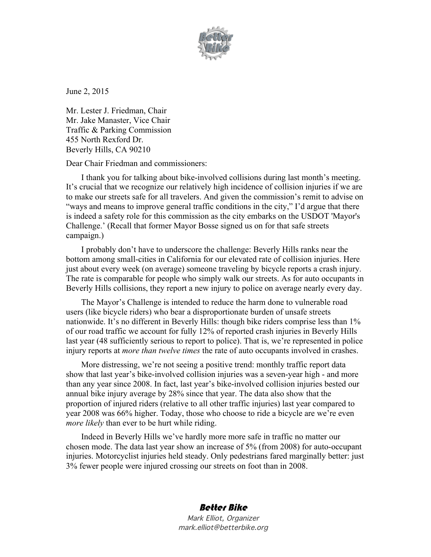

June 2, 2015

Mr. Lester J. Friedman, Chair Mr. Jake Manaster, Vice Chair Traffic & Parking Commission 455 North Rexford Dr. Beverly Hills, CA 90210

Dear Chair Friedman and commissioners:

I thank you for talking about bike-involved collisions during last month's meeting. It's crucial that we recognize our relatively high incidence of collision injuries if we are to make our streets safe for all travelers. And given the commission's remit to advise on "ways and means to improve general traffic conditions in the city," I'd argue that there is indeed a safety role for this commission as the city embarks on the USDOT 'Mayor's Challenge.' (Recall that former Mayor Bosse signed us on for that safe streets campaign.)

I probably don't have to underscore the challenge: Beverly Hills ranks near the bottom among small-cities in California for our elevated rate of collision injuries. Here just about every week (on average) someone traveling by bicycle reports a crash injury. The rate is comparable for people who simply walk our streets. As for auto occupants in Beverly Hills collisions, they report a new injury to police on average nearly every day.

The Mayor's Challenge is intended to reduce the harm done to vulnerable road users (like bicycle riders) who bear a disproportionate burden of unsafe streets nationwide. It's no different in Beverly Hills: though bike riders comprise less than 1% of our road traffic we account for fully 12% of reported crash injuries in Beverly Hills last year (48 sufficiently serious to report to police). That is, we're represented in police injury reports at *more than twelve times* the rate of auto occupants involved in crashes.

More distressing, we're not seeing a positive trend: monthly traffic report data show that last year's bike-involved collision injuries was a seven-year high - and more than any year since 2008. In fact, last year's bike-involved collision injuries bested our annual bike injury average by 28% since that year. The data also show that the proportion of injured riders (relative to all other traffic injuries) last year compared to year 2008 was 66% higher. Today, those who choose to ride a bicycle are we're even *more likely* than ever to be hurt while riding.

Indeed in Beverly Hills we've hardly more more safe in traffic no matter our chosen mode. The data last year show an increase of 5% (from 2008) for auto-occupant injuries. Motorcyclist injuries held steady. Only pedestrians fared marginally better: just 3% fewer people were injured crossing our streets on foot than in 2008.

## Better Bike

Mark Elliot, Organizer mark.elliot@betterbike.org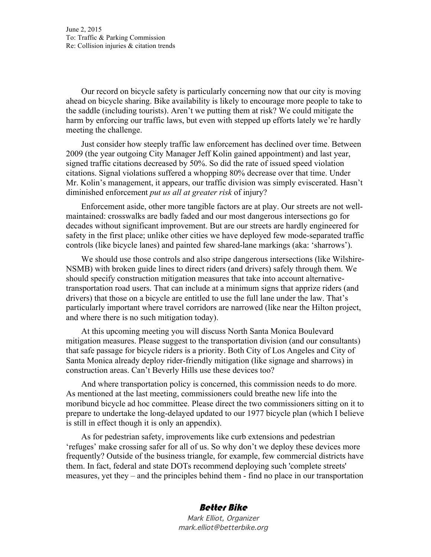June 2, 2015 To: Traffic & Parking Commission Re: Collision injuries & citation trends

Our record on bicycle safety is particularly concerning now that our city is moving ahead on bicycle sharing. Bike availability is likely to encourage more people to take to the saddle (including tourists). Aren't we putting them at risk? We could mitigate the harm by enforcing our traffic laws, but even with stepped up efforts lately we're hardly meeting the challenge.

Just consider how steeply traffic law enforcement has declined over time. Between 2009 (the year outgoing City Manager Jeff Kolin gained appointment) and last year, signed traffic citations decreased by 50%. So did the rate of issued speed violation citations. Signal violations suffered a whopping 80% decrease over that time. Under Mr. Kolin's management, it appears, our traffic division was simply eviscerated. Hasn't diminished enforcement *put us all at greater risk* of injury?

Enforcement aside, other more tangible factors are at play. Our streets are not wellmaintained: crosswalks are badly faded and our most dangerous intersections go for decades without significant improvement. But are our streets are hardly engineered for safety in the first place; unlike other cities we have deployed few mode-separated traffic controls (like bicycle lanes) and painted few shared-lane markings (aka: 'sharrows').

We should use those controls and also stripe dangerous intersections (like Wilshire-NSMB) with broken guide lines to direct riders (and drivers) safely through them. We should specify construction mitigation measures that take into account alternativetransportation road users. That can include at a minimum signs that apprize riders (and drivers) that those on a bicycle are entitled to use the full lane under the law. That's particularly important where travel corridors are narrowed (like near the Hilton project, and where there is no such mitigation today).

At this upcoming meeting you will discuss North Santa Monica Boulevard mitigation measures. Please suggest to the transportation division (and our consultants) that safe passage for bicycle riders is a priority. Both City of Los Angeles and City of Santa Monica already deploy rider-friendly mitigation (like signage and sharrows) in construction areas. Can't Beverly Hills use these devices too?

And where transportation policy is concerned, this commission needs to do more. As mentioned at the last meeting, commissioners could breathe new life into the moribund bicycle ad hoc committee. Please direct the two commissioners sitting on it to prepare to undertake the long-delayed updated to our 1977 bicycle plan (which I believe is still in effect though it is only an appendix).

As for pedestrian safety, improvements like curb extensions and pedestrian 'refuges' make crossing safer for all of us. So why don't we deploy these devices more frequently? Outside of the business triangle, for example, few commercial districts have them. In fact, federal and state DOTs recommend deploying such 'complete streets' measures, yet they – and the principles behind them - find no place in our transportation

## Better Bike

Mark Elliot, Organizer mark.elliot@betterbike.org